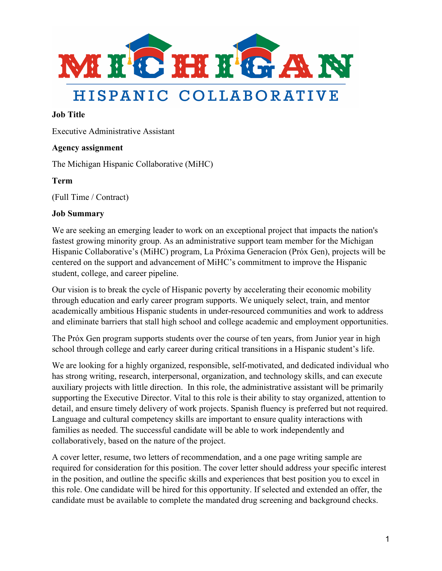

# HISPANIC COLLABORATIVE

## **Job Title**

Executive Administrative Assistant

## **Agency assignment**

The Michigan Hispanic Collaborative (MiHC)

### **Term**

(Full Time / Contract)

#### **Job Summary**

We are seeking an emerging leader to work on an exceptional project that impacts the nation's fastest growing minority group. As an administrative support team member for the Michigan Hispanic Collaborative's (MiHC) program, La Próxima Generacíon (Próx Gen), projects will be centered on the support and advancement of MiHC's commitment to improve the Hispanic student, college, and career pipeline.

Our vision is to break the cycle of Hispanic poverty by accelerating their economic mobility through education and early career program supports. We uniquely select, train, and mentor academically ambitious Hispanic students in under-resourced communities and work to address and eliminate barriers that stall high school and college academic and employment opportunities.

The Próx Gen program supports students over the course of ten years, from Junior year in high school through college and early career during critical transitions in a Hispanic student's life.

We are looking for a highly organized, responsible, self-motivated, and dedicated individual who has strong writing, research, interpersonal, organization, and technology skills, and can execute auxiliary projects with little direction. In this role, the administrative assistant will be primarily supporting the Executive Director. Vital to this role is their ability to stay organized, attention to detail, and ensure timely delivery of work projects. Spanish fluency is preferred but not required. Language and cultural competency skills are important to ensure quality interactions with families as needed. The successful candidate will be able to work independently and collaboratively, based on the nature of the project.

A cover letter, resume, two letters of recommendation, and a one page writing sample are required for consideration for this position. The cover letter should address your specific interest in the position, and outline the specific skills and experiences that best position you to excel in this role. One candidate will be hired for this opportunity. If selected and extended an offer, the candidate must be available to complete the mandated drug screening and background checks.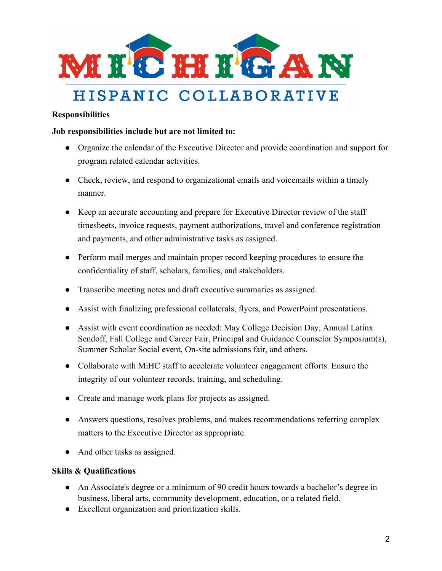

# **Responsibilities**

#### **Job responsibilities include but are not limited to:**

- Organize the calendar of the Executive Director and provide coordination and support for program related calendar activities.
- Check, review, and respond to organizational emails and voicemails within a timely manner.
- Keep an accurate accounting and prepare for Executive Director review of the staff timesheets, invoice requests, payment authorizations, travel and conference registration and payments, and other administrative tasks as assigned.
- Perform mail merges and maintain proper record keeping procedures to ensure the confidentiality of staff, scholars, families, and stakeholders.
- Transcribe meeting notes and draft executive summaries as assigned.
- Assist with finalizing professional collaterals, flyers, and PowerPoint presentations.
- Assist with event coordination as needed: May College Decision Day, Annual Latinx Sendoff, Fall College and Career Fair, Principal and Guidance Counselor Symposium(s), Summer Scholar Social event, On-site admissions fair, and others.
- Collaborate with MiHC staff to accelerate volunteer engagement efforts. Ensure the integrity of our volunteer records, training, and scheduling.
- Create and manage work plans for projects as assigned.
- Answers questions, resolves problems, and makes recommendations referring complex matters to the Executive Director as appropriate.
- And other tasks as assigned.

#### **Skills & Qualifications**

- An Associate's degree or a minimum of 90 credit hours towards a bachelor's degree in business, liberal arts, community development, education, or a related field.
- Excellent organization and prioritization skills.